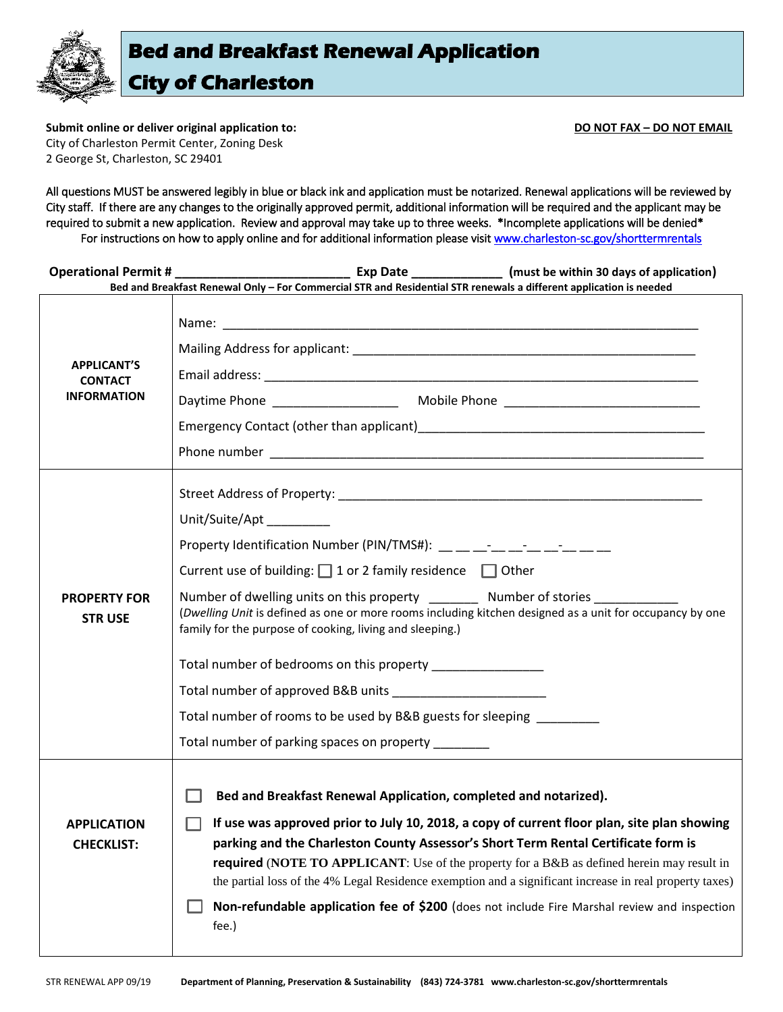

**Submit online or deliver original application to: DO NOT FAX – DO NOT EMAIL** City of Charleston Permit Center, Zoning Desk 2 George St, Charleston, SC 29401

All questions MUST be answered legibly in blue or black ink and application must be notarized. Renewal applications will be reviewed by City staff. If there are any changes to the originally approved permit, additional information will be required and the applicant may be required to submit a new application. Review and approval may take up to three weeks. \*Incomplete applications will be denied\* For instructions on how to apply online and for additional information please visit www.charleston-sc.gov/shorttermrentals

| <b>Operational Permit #</b>                                | Exp Date ________________ (must be within 30 days of application)<br>Bed and Breakfast Renewal Only - For Commercial STR and Residential STR renewals a different application is needed                                                                                                                                                                                                                                                                                                                                                                                                                                      |
|------------------------------------------------------------|------------------------------------------------------------------------------------------------------------------------------------------------------------------------------------------------------------------------------------------------------------------------------------------------------------------------------------------------------------------------------------------------------------------------------------------------------------------------------------------------------------------------------------------------------------------------------------------------------------------------------|
| <b>APPLICANT'S</b><br><b>CONTACT</b><br><b>INFORMATION</b> |                                                                                                                                                                                                                                                                                                                                                                                                                                                                                                                                                                                                                              |
| <b>PROPERTY FOR</b><br><b>STRUSE</b>                       | Unit/Suite/Apt<br>Property Identification Number (PIN/TMS#): __ _ _ _ _ _ _ _ _ _ _ _ _ _ _ _<br>Current use of building: $\Box$ 1 or 2 family residence $\Box$ Other<br>Number of dwelling units on this property ________ Number of stories __________<br>(Dwelling Unit is defined as one or more rooms including kitchen designed as a unit for occupancy by one<br>family for the purpose of cooking, living and sleeping.)<br>Total number of bedrooms on this property ________________<br>Total number of rooms to be used by B&B guests for sleeping _______<br>Total number of parking spaces on property ________ |
| <b>APPLICATION</b><br><b>CHECKLIST:</b>                    | Bed and Breakfast Renewal Application, completed and notarized).<br>If use was approved prior to July 10, 2018, a copy of current floor plan, site plan showing<br>H<br>parking and the Charleston County Assessor's Short Term Rental Certificate form is<br><b>required</b> (NOTE TO APPLICANT: Use of the property for a B&B as defined herein may result in<br>the partial loss of the 4% Legal Residence exemption and a significant increase in real property taxes)<br>Non-refundable application fee of \$200 (does not include Fire Marshal review and inspection<br>fee.)                                          |